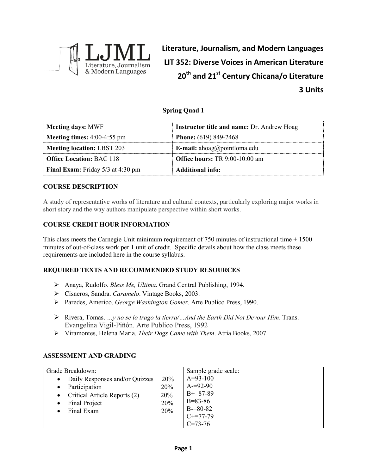

**Literature, Journalism, and Modern Languages LIT 352: Diverse Voices in American Literature 20th and 21st Century Chicana/o Literature 3 Units**

## **Spring Quad 1**

| <b>Meeting days: MWF</b>                   | <b>Instructor title and name: Dr. Andrew Hoag</b> |  |
|--------------------------------------------|---------------------------------------------------|--|
| <b>Meeting times:</b> $4:00-4:55$ pm       | <b>Phone:</b> $(619) 849-2468$                    |  |
| Meeting location: LBST 203                 | <b>E-mail:</b> ahoag@pointloma.edu                |  |
| <b>Office Location: BAC 118</b>            | <b>Office hours:</b> TR 9:00-10:00 am             |  |
| <b>Final Exam:</b> Friday $5/3$ at 4:30 pm | Additional info:                                  |  |

#### **COURSE DESCRIPTION**

A study of representative works of literature and cultural contexts, particularly exploring major works in short story and the way authors manipulate perspective within short works.

## **COURSE CREDIT HOUR INFORMATION**

This class meets the Carnegie Unit minimum requirement of 750 minutes of instructional time + 1500 minutes of out-of-class work per 1 unit of credit. Specific details about how the class meets these requirements are included here in the course syllabus.

## **REQUIRED TEXTS AND RECOMMENDED STUDY RESOURCES**

- Anaya, Rudolfo. *Bless Me, Ultima*. Grand Central Publishing, 1994.
- Cisneros, Sandra. *Caramelo*. Vintage Books, 2003.
- Paredes, Americo. *George Washington Gomez*. Arte Publico Press, 1990.
- Rivera, Tomas. *…y no se lo trago la tierra/…And the Earth Did Not Devour Him*. Trans. Evangelina Vigil-Piñón. Arte Publico Press, 1992
- Viramontes, Helena Maria. *Their Dogs Came with Them*. Atria Books, 2007.

## **ASSESSMENT AND GRADING**

| Grade Breakdown:                                                                                                                                          |                                 | Sample grade scale:                                                                       |
|-----------------------------------------------------------------------------------------------------------------------------------------------------------|---------------------------------|-------------------------------------------------------------------------------------------|
| Daily Responses and/or Quizzes<br>$\bullet$<br>Participation<br>$\bullet$<br>• Critical Article Reports $(2)$<br>Final Project<br>$\bullet$<br>Final Exam | 20%<br>20%<br>20%<br>20%<br>20% | $A=93-100$<br>$A = 92 - 90$<br>$B+=87-89$<br>$B = 83 - 86$<br>$B = 80 - 82$<br>$C+=77-79$ |
|                                                                                                                                                           |                                 | $C=73-76$                                                                                 |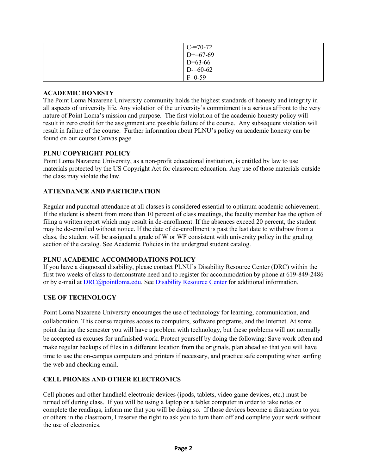| $C = 70-72$ |
|-------------|
| $D+=67-69$  |
| $D=63-66$   |
| $D=60-62$   |
| $F=0-59$    |

#### **ACADEMIC HONESTY**

The Point Loma Nazarene University community holds the highest standards of honesty and integrity in all aspects of university life. Any violation of the university's commitment is a serious affront to the very nature of Point Loma's mission and purpose. The first violation of the academic honesty policy will result in zero credit for the assignment and possible failure of the course. Any subsequent violation will result in failure of the course. Further information about PLNU's policy on academic honesty can be found on our course Canvas page.

## **PLNU COPYRIGHT POLICY**

Point Loma Nazarene University, as a non-profit educational institution, is entitled by law to use materials protected by the US Copyright Act for classroom education. Any use of those materials outside the class may violate the law.

## **ATTENDANCE AND PARTICIPATION**

Regular and punctual attendance at all classes is considered essential to optimum academic achievement. If the student is absent from more than 10 percent of class meetings, the faculty member has the option of filing a written report which may result in de-enrollment. If the absences exceed 20 percent, the student may be de-enrolled without notice. If the date of de-enrollment is past the last date to withdraw from a class, the student will be assigned a grade of W or WF consistent with university policy in the grading section of the catalog. See Academic Policies in the undergrad student catalog.

#### **PLNU ACADEMIC ACCOMMODATIONS POLICY**

If you have a diagnosed disability, please contact PLNU's Disability Resource Center (DRC) within the first two weeks of class to demonstrate need and to register for accommodation by phone at 619-849-2486 or by e-mail at [DRC@pointloma.edu.](mailto:DRC@pointloma.edu) See [Disability Resource Center](http://www.pointloma.edu/experience/offices/administrative-offices/academic-advising-office/disability-resource-center) for additional information.

## **USE OF TECHNOLOGY**

Point Loma Nazarene University encourages the use of technology for learning, communication, and collaboration. This course requires access to computers, software programs, and the Internet. At some point during the semester you will have a problem with technology, but these problems will not normally be accepted as excuses for unfinished work. Protect yourself by doing the following: Save work often and make regular backups of files in a different location from the originals, plan ahead so that you will have time to use the on-campus computers and printers if necessary, and practice safe computing when surfing the web and checking email.

#### **CELL PHONES AND OTHER ELECTRONICS**

Cell phones and other handheld electronic devices (ipods, tablets, video game devices, etc.) must be turned off during class. If you will be using a laptop or a tablet computer in order to take notes or complete the readings, inform me that you will be doing so. If those devices become a distraction to you or others in the classroom, I reserve the right to ask you to turn them off and complete your work without the use of electronics.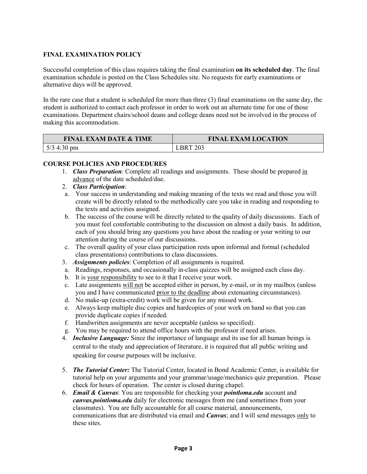# **FINAL EXAMINATION POLICY**

Successful completion of this class requires taking the final examination **on its scheduled day**. The final examination schedule is posted on the Class Schedules site. No requests for early examinations or alternative days will be approved.

In the rare case that a student is scheduled for more than three (3) final examinations on the same day, the student is authorized to contact each professor in order to work out an alternate time for one of those examinations. Department chairs/school deans and college deans need not be involved in the process of making this accommodation.

| <b>FINAL EXAM DATE &amp; TIME</b> | <b>FINAL EXAM LOCATION</b> |
|-----------------------------------|----------------------------|
| $5/3$ 4:30 pm                     | 203                        |

#### **COURSE POLICIES AND PROCEDURES**

- 1. *Class Preparation*: Complete all readings and assignments. These should be prepared in advance of the date scheduled/due.
- 2. *Class Participation*:
- a. Your success in understanding and making meaning of the texts we read and those you will create will be directly related to the methodically care you take in reading and responding to the texts and activities assigned.
- b. The success of the course will be directly related to the quality of daily discussions. Each of you must feel comfortable contributing to the discussion on almost a daily basis. In addition, each of you should bring any questions you have about the reading or your writing to our attention during the course of our discussions.
- c. The overall quality of your class participation rests upon informal and formal (scheduled class presentations) contributions to class discussions.
- 3. *Assignments policies*: Completion of all assignments is required.
- a. Readings, responses, and occasionally in-class quizzes will be assigned each class day.
- b. It is your responsibility to see to it that I receive your work.
- c. Late assignments will not be accepted either in person, by e-mail, or in my mailbox (unless you and I have communicated prior to the deadline about extenuating circumstances).
- d. No make-up (extra-credit) work will be given for any missed work.
- e. Always keep multiple disc copies and hardcopies of your work on hand so that you can provide duplicate copies if needed.
- f. Handwritten assignments are never acceptable (unless so specified).
- g. You may be required to attend office hours with the professor if need arises.
- 4. *Inclusive Language:* Since the importance of language and its use for all human beings is central to the study and appreciation of literature, it is required that all public writing and speaking for course purposes will be inclusive.
- 5. *The Tutorial Center:* The Tutorial Center, located in Bond Academic Center, is available for tutorial help on your arguments and your grammar/usage/mechanics quiz preparation. Please check for hours of operation. The center is closed during chapel.
- 6. *Email & Canvas*: You are responsible for checking your *pointloma.edu* account and *canvas.pointloma.edu* daily for electronic messages from me (and sometimes from your classmates). You are fully accountable for all course material, announcements, communications that are distributed via email and *Canvas*; and I will send messages only to these sites.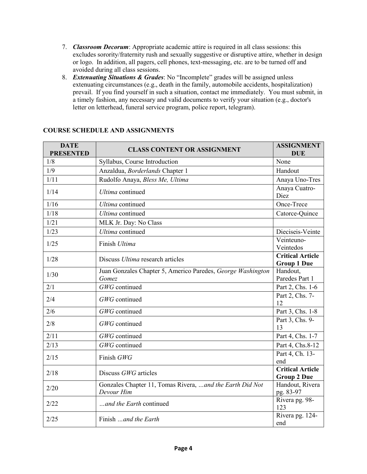- 7. *Classroom Decorum*: Appropriate academic attire is required in all class sessions: this excludes sorority/fraternity rush and sexually suggestive or disruptive attire, whether in design or logo. In addition, all pagers, cell phones, text-messaging, etc. are to be turned off and avoided during all class sessions.
- 8. *Extenuating Situations & Grades*: No "Incomplete" grades will be assigned unless extenuating circumstances (e.g., death in the family, automobile accidents, hospitalization) prevail. If you find yourself in such a situation, contact me immediately. You must submit, in a timely fashion, any necessary and valid documents to verify your situation (e.g., doctor's letter on letterhead, funeral service program, police report, telegram).

| <b>DATE</b><br><b>PRESENTED</b> | <b>CLASS CONTENT OR ASSIGNMENT</b>                                      | <b>ASSIGNMENT</b><br><b>DUE</b>               |
|---------------------------------|-------------------------------------------------------------------------|-----------------------------------------------|
| 1/8                             | Syllabus, Course Introduction                                           | None                                          |
| 1/9                             | Anzaldua, Borderlands Chapter 1                                         | Handout                                       |
| 1/11                            | Rudolfo Anaya, Bless Me, Ultima                                         | Anaya Uno-Tres                                |
| 1/14                            | <b>Ultima</b> continued                                                 | Anaya Cuatro-<br>Diez                         |
| 1/16                            | <b>Ultima</b> continued                                                 | Once-Trece                                    |
| 1/18                            | <b>Ultima</b> continued                                                 | Catorce-Quince                                |
| 1/21                            | MLK Jr. Day: No Class                                                   |                                               |
| 1/23                            | <b>Ultima</b> continued                                                 | Dieciseis-Veinte                              |
| 1/25                            | Finish Ultima                                                           | Veinteuno-<br>Veintedos                       |
| 1/28                            | Discuss Ultima research articles                                        | <b>Critical Article</b><br><b>Group 1 Due</b> |
| 1/30                            | Juan Gonzales Chapter 5, Americo Paredes, George Washington<br>Gomez    | Handout,<br>Paredes Part 1                    |
| 2/1                             | GWG continued                                                           | Part 2, Chs. 1-6                              |
| 2/4                             | GWG continued                                                           | Part 2, Chs. 7-<br>12                         |
| 2/6                             | GWG continued                                                           | Part 3, Chs. 1-8                              |
| 2/8                             | GWG continued                                                           | Part 3, Chs. 9-<br>13                         |
| 2/11                            | GWG continued                                                           | Part 4, Chs. 1-7                              |
| 2/13                            | GWG continued                                                           | Part 4, Chs.8-12                              |
| 2/15                            | Finish GWG                                                              | Part 4, Ch. 13-<br>end                        |
| 2/18                            | Discuss GWG articles                                                    | <b>Critical Article</b><br><b>Group 2 Due</b> |
| 2/20                            | Gonzales Chapter 11, Tomas Rivera,  and the Earth Did Not<br>Devour Him | Handout, Rivera<br>pg. 83-97                  |
| 2/22                            | and the Earth continued                                                 | Rivera pg. 98-<br>123                         |
| 2/25                            | Finish and the Earth                                                    | Rivera pg. 124-<br>end                        |

# **COURSE SCHEDULE AND ASSIGNMENTS**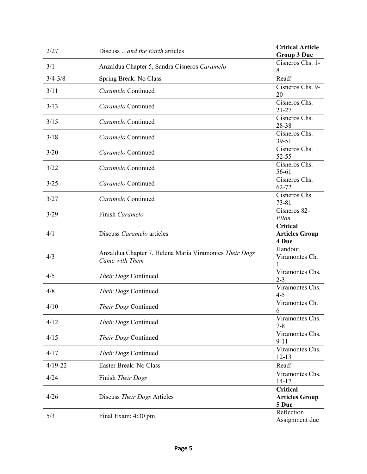| 2/27        | Discuss  and the Earth articles                                          | <b>Critical Article</b><br><b>Group 3 Due</b>            |
|-------------|--------------------------------------------------------------------------|----------------------------------------------------------|
| 3/1         | Anzaldua Chapter 5, Sandra Cisneros Caramelo                             | Cisneros Chs. 1-<br>8                                    |
| $3/4 - 3/8$ | Spring Break: No Class                                                   | Read!                                                    |
| 3/11        | Caramelo Continued                                                       | Cisneros Chs. 9-                                         |
|             |                                                                          | 20                                                       |
| 3/13        | Caramelo Continued                                                       | Cisneros Chs.<br>$21 - 27$                               |
| 3/15        | Caramelo Continued                                                       | Cisneros Chs.<br>28-38                                   |
| 3/18        | Caramelo Continued                                                       | Cisneros Chs.<br>39-51                                   |
| 3/20        | Caramelo Continued                                                       | Cisneros Chs.<br>52-55                                   |
| 3/22        | Caramelo Continued                                                       | Cisneros Chs.<br>56-61                                   |
|             |                                                                          | Cisneros Chs.                                            |
| 3/25        | Caramelo Continued                                                       | 62-72                                                    |
| 3/27        | Caramelo Continued                                                       | Cisneros Chs.<br>$73 - 81$                               |
| 3/29        | Finish Caramelo                                                          | Cisneros 82-<br>Pilon                                    |
| 4/1         | Discuss Caramelo articles                                                | <b>Critical</b><br><b>Articles Group</b><br>4 Due        |
| 4/3         | Anzaldua Chapter 7, Helena Maria Viramontes Their Dogs<br>Came with Them | Handout,<br>Viramontes Ch.                               |
| 4/5         | Their Dogs Continued                                                     | Viramontes Chs.<br>$2 - 3$                               |
| 4/8         | Their Dogs Continued                                                     | Viramontes Chs.<br>$4 - 5$                               |
| 4/10        | Their Dogs Continued                                                     | Viramontes Ch.<br>6                                      |
| 4/12        | Their Dogs Continued                                                     | Viramontes Chs.<br>$7 - 8$                               |
| 4/15        | Their Dogs Continued                                                     | Viramontes Chs.<br>$9-11$                                |
| 4/17        | Their Dogs Continued                                                     | Viramontes Chs.<br>$12 - 13$                             |
| $4/19 - 22$ | Easter Break: No Class                                                   | Read!                                                    |
| 4/24        | Finish Their Dogs                                                        | Viramontes Chs.<br>$14-17$                               |
| 4/26        | Discuss Their Dogs Articles                                              | Critical<br><b>Articles Group</b><br>5 Due<br>Reflection |
| 5/3         | Final Exam: 4:30 pm                                                      | Assignment due                                           |